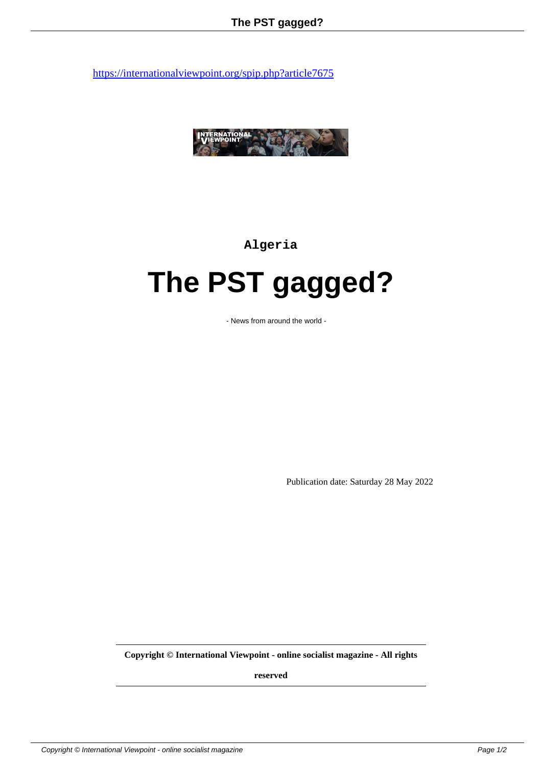

**Algeria**

## **The PST gagged?**

- News from around the world -

Publication date: Saturday 28 May 2022

**Copyright © International Viewpoint - online socialist magazine - All rights**

**reserved**